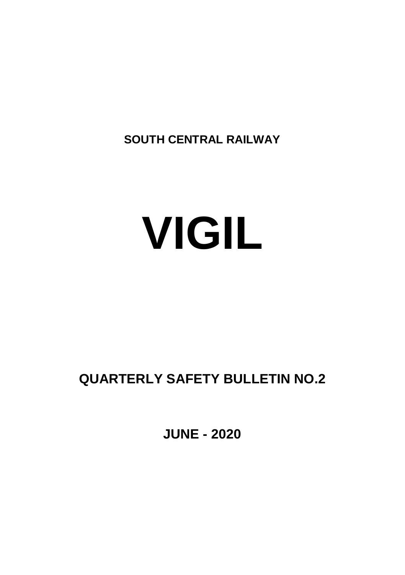**SOUTH CENTRAL RAILWAY**

# **VIGIL**

# **QUARTERLY SAFETY BULLETIN NO.2**

**JUNE - 2020**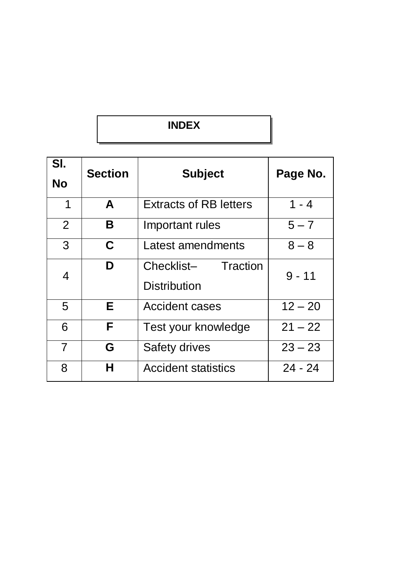## **INDEX**

| SI.<br><b>No</b> | <b>Section</b> | <b>Subject</b>                                | Page No.  |
|------------------|----------------|-----------------------------------------------|-----------|
| 1                | A              | <b>Extracts of RB letters</b>                 | $1 - 4$   |
| $\overline{2}$   | В              | Important rules                               | $5 - 7$   |
| 3                | C              | Latest amendments                             | $8 - 8$   |
| 4                | D              | Checklist-<br>Traction<br><b>Distribution</b> | $9 - 11$  |
| 5                | E.             | <b>Accident cases</b>                         | $12 - 20$ |
| 6                | F              | Test your knowledge                           | $21 - 22$ |
| 7                | G              | Safety drives                                 | $23 - 23$ |
| 8                | н              | <b>Accident statistics</b>                    | $24 - 24$ |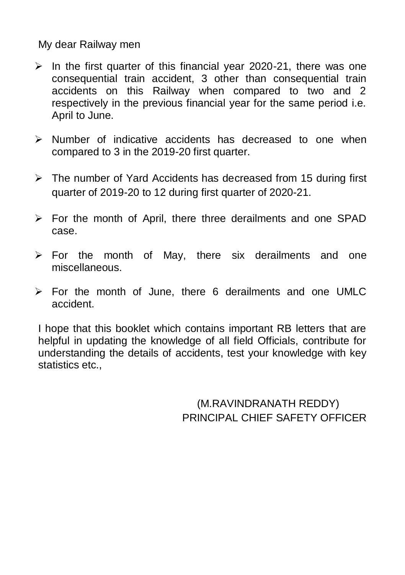My dear Railway men

- $\triangleright$  In the first quarter of this financial year 2020-21, there was one consequential train accident, 3 other than consequential train accidents on this Railway when compared to two and 2 respectively in the previous financial year for the same period i.e. April to June.
- $\triangleright$  Number of indicative accidents has decreased to one when compared to 3 in the 2019-20 first quarter.
- $\triangleright$  The number of Yard Accidents has decreased from 15 during first quarter of 2019-20 to 12 during first quarter of 2020-21.
- $\triangleright$  For the month of April, there three derailments and one SPAD case.
- $\triangleright$  For the month of May, there six derailments and one miscellaneous.
- $\triangleright$  For the month of June, there 6 derailments and one UMLC accident.

I hope that this booklet which contains important RB letters that are helpful in updating the knowledge of all field Officials, contribute for understanding the details of accidents, test your knowledge with key statistics etc.,

> (M.RAVINDRANATH REDDY) PRINCIPAL CHIEF SAFETY OFFICER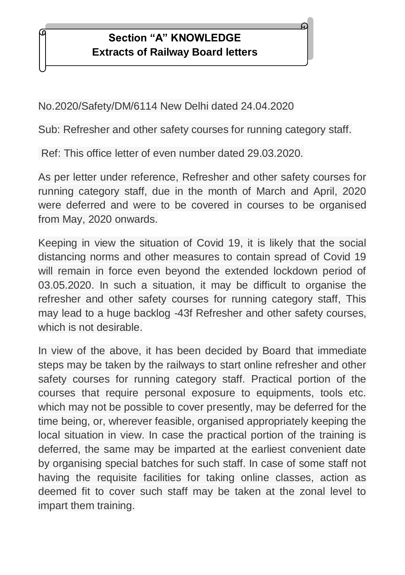#### **RAILWAY BOARD BOARD BOARD LETTERS Section "A" KNOWLEDGE Extracts of Railway Board letters**

No.2020/Safety/DM/6114 New Delhi dated 24.04.2020

Sub: Refresher and other safety courses for running category staff.

Ref: This office letter of even number dated 29.03.2020.

As per letter under reference, Refresher and other safety courses for running category staff, due in the month of March and April, 2020 were deferred and were to be covered in courses to be organised from May, 2020 onwards.

Keeping in view the situation of Covid 19, it is likely that the social distancing norms and other measures to contain spread of Covid 19 will remain in force even beyond the extended lockdown period of 03.05.2020. In such a situation, it may be difficult to organise the refresher and other safety courses for running category staff, This may lead to a huge backlog -43f Refresher and other safety courses, which is not desirable.

In view of the above, it has been decided by Board that immediate steps may be taken by the railways to start online refresher and other safety courses for running category staff. Practical portion of the courses that require personal exposure to equipments, tools etc. which may not be possible to cover presently, may be deferred for the time being, or, wherever feasible, organised appropriately keeping the local situation in view. In case the practical portion of the training is deferred, the same may be imparted at the earliest convenient date by organising special batches for such staff. In case of some staff not having the requisite facilities for taking online classes, action as deemed fit to cover such staff may be taken at the zonal level to impart them training.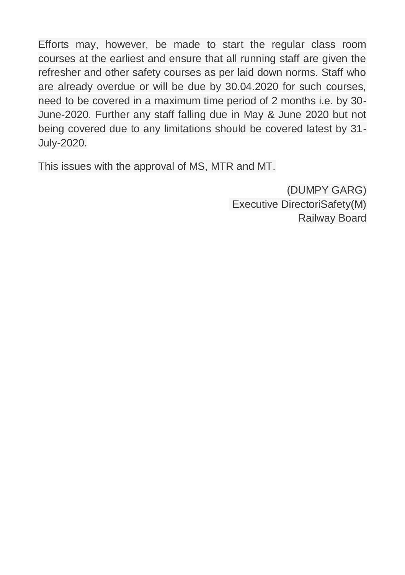Efforts may, however, be made to start the regular class room courses at the earliest and ensure that all running staff are given the refresher and other safety courses as per laid down norms. Staff who are already overdue or will be due by 30.04.2020 for such courses, need to be covered in a maximum time period of 2 months i.e. by 30- June-2020. Further any staff falling due in May & June 2020 but not being covered due to any limitations should be covered latest by 31- July-2020.

This issues with the approval of MS, MTR and MT.

(DUMPY GARG) Executive DirectoriSafety(M) Railway Board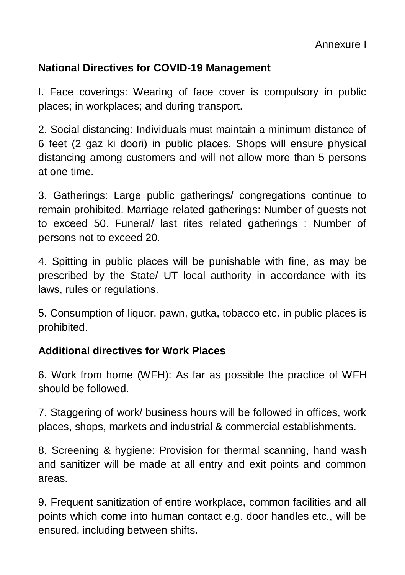## **National Directives for COVID-19 Management**

I. Face coverings: Wearing of face cover is compulsory in public places; in workplaces; and during transport.

2. Social distancing: Individuals must maintain a minimum distance of 6 feet (2 gaz ki doori) in public places. Shops will ensure physical distancing among customers and will not allow more than 5 persons at one time.

3. Gatherings: Large public gatherings/ congregations continue to remain prohibited. Marriage related gatherings: Number of guests not to exceed 50. Funeral/ last rites related gatherings : Number of persons not to exceed 20.

4. Spitting in public places will be punishable with fine, as may be prescribed by the State/ UT local authority in accordance with its laws, rules or regulations.

5. Consumption of liquor, pawn, gutka, tobacco etc. in public places is prohibited.

## **Additional directives for Work Places**

6. Work from home (WFH): As far as possible the practice of WFH should be followed.

7. Staggering of work/ business hours will be followed in offices, work places, shops, markets and industrial & commercial establishments.

8. Screening & hygiene: Provision for thermal scanning, hand wash and sanitizer will be made at all entry and exit points and common areas.

9. Frequent sanitization of entire workplace, common facilities and all points which come into human contact e.g. door handles etc., will be ensured, including between shifts.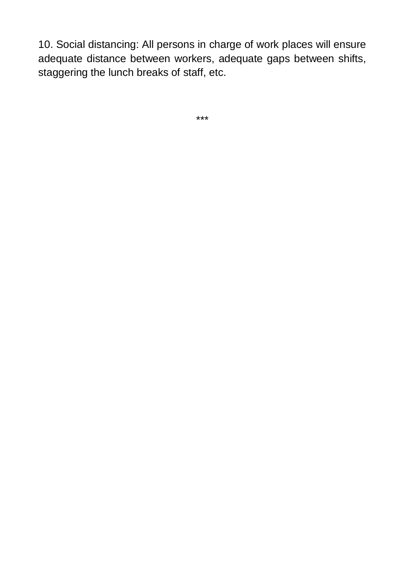10. Social distancing: All persons in charge of work places will ensure adequate distance between workers, adequate gaps between shifts, staggering the lunch breaks of staff, etc.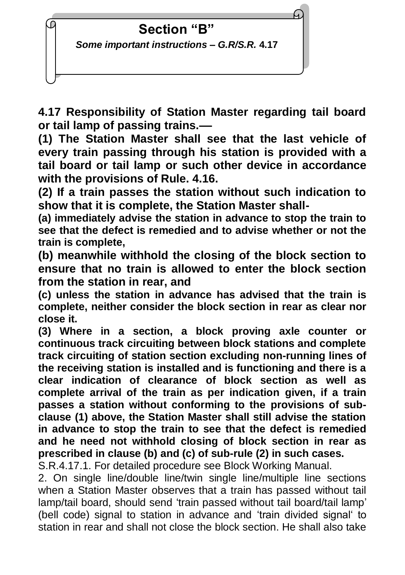

**4.17 Responsibility of Station Master regarding tail board or tail lamp of passing trains.––**

**(1) The Station Master shall see that the last vehicle of every train passing through his station is provided with a tail board or tail lamp or such other device in accordance with the provisions of Rule. 4.16.**

**(2) If a train passes the station without such indication to show that it is complete, the Station Master shall-**

**(a) immediately advise the station in advance to stop the train to see that the defect is remedied and to advise whether or not the train is complete,**

**(b) meanwhile withhold the closing of the block section to ensure that no train is allowed to enter the block section from the station in rear, and**

**(c) unless the station in advance has advised that the train is complete, neither consider the block section in rear as clear nor close it.**

**(3) Where in a section, a block proving axle counter or continuous track circuiting between block stations and complete track circuiting of station section excluding non-running lines of the receiving station is installed and is functioning and there is a clear indication of clearance of block section as well as complete arrival of the train as per indication given, if a train passes a station without conforming to the provisions of subclause (1) above, the Station Master shall still advise the station in advance to stop the train to see that the defect is remedied and he need not withhold closing of block section in rear as prescribed in clause (b) and (c) of sub-rule (2) in such cases.**

S.R.4.17.1. For detailed procedure see Block Working Manual.

2. On single line/double line/twin single line/multiple line sections when a Station Master observes that a train has passed without tail lamp/tail board, should send 'train passed without tail board/tail lamp' (bell code) signal to station in advance and 'train divided signal' to station in rear and shall not close the block section. He shall also take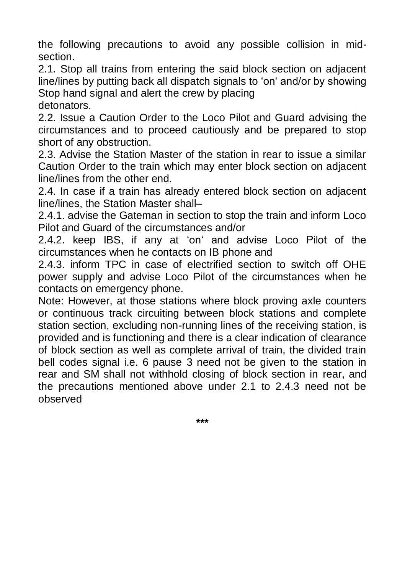the following precautions to avoid any possible collision in midsection.

2.1. Stop all trains from entering the said block section on adjacent line/lines by putting back all dispatch signals to 'on' and/or by showing Stop hand signal and alert the crew by placing

detonators.

2.2. Issue a Caution Order to the Loco Pilot and Guard advising the circumstances and to proceed cautiously and be prepared to stop short of any obstruction.

2.3. Advise the Station Master of the station in rear to issue a similar Caution Order to the train which may enter block section on adjacent line/lines from the other end.

2.4. In case if a train has already entered block section on adjacent line/lines, the Station Master shall–

2.4.1. advise the Gateman in section to stop the train and inform Loco Pilot and Guard of the circumstances and/or

2.4.2. keep IBS, if any at 'on' and advise Loco Pilot of the circumstances when he contacts on IB phone and

2.4.3. inform TPC in case of electrified section to switch off OHE power supply and advise Loco Pilot of the circumstances when he contacts on emergency phone.

Note: However, at those stations where block proving axle counters or continuous track circuiting between block stations and complete station section, excluding non-running lines of the receiving station, is provided and is functioning and there is a clear indication of clearance of block section as well as complete arrival of train, the divided train bell codes signal i.e. 6 pause 3 need not be given to the station in rear and SM shall not withhold closing of block section in rear, and the precautions mentioned above under 2.1 to 2.4.3 need not be observed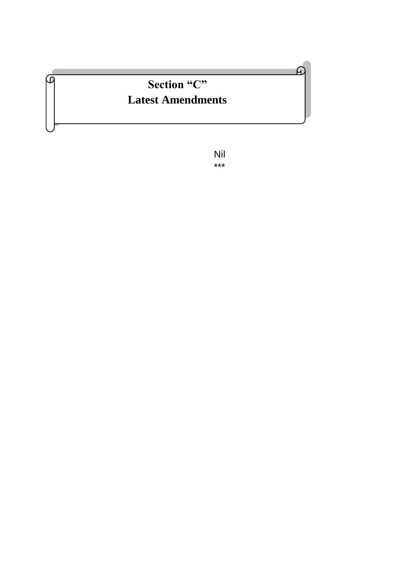# **Section "C" Latest Amendments**

፴

Nil \*\*\*

മ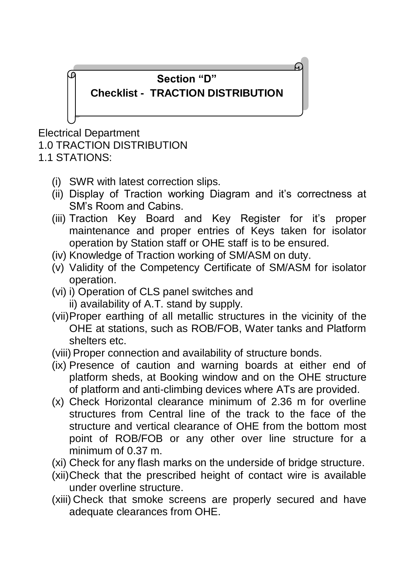#### **Section "D"**

## **Checklist - TRACTION DISTRIBUTION**

Electrical Department 1.0 TRACTION DISTRIBUTION

1.1 STATIONS:

- (i) SWR with latest correction slips.
- (ii) Display of Traction working Diagram and it's correctness at SM's Room and Cabins.
- (iii) Traction Key Board and Key Register for it's proper maintenance and proper entries of Keys taken for isolator operation by Station staff or OHE staff is to be ensured.
- (iv) Knowledge of Traction working of SM/ASM on duty.
- (v) Validity of the Competency Certificate of SM/ASM for isolator operation.
- (vi) i) Operation of CLS panel switches and
	- ii) availability of A.T. stand by supply.
- (vii)Proper earthing of all metallic structures in the vicinity of the OHE at stations, such as ROB/FOB, Water tanks and Platform shelters etc.
- (viii) Proper connection and availability of structure bonds.
- (ix) Presence of caution and warning boards at either end of platform sheds, at Booking window and on the OHE structure of platform and anti-climbing devices where ATs are provided.
- (x) Check Horizontal clearance minimum of 2.36 m for overline structures from Central line of the track to the face of the structure and vertical clearance of OHE from the bottom most point of ROB/FOB or any other over line structure for a minimum of 0.37 m.
- (xi) Check for any flash marks on the underside of bridge structure.
- (xii)Check that the prescribed height of contact wire is available under overline structure.
- (xiii) Check that smoke screens are properly secured and have adequate clearances from OHE.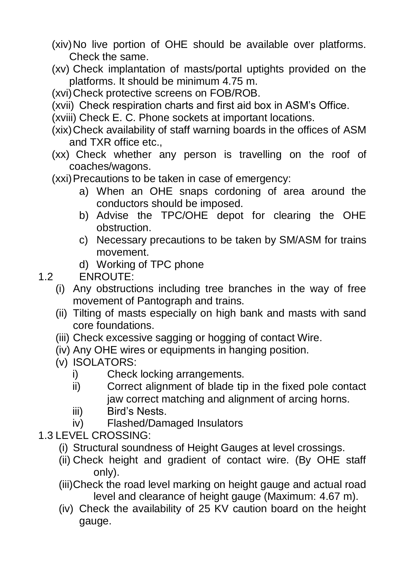- (xiv)No live portion of OHE should be available over platforms. Check the same.
- (xv) Check implantation of masts/portal uptights provided on the platforms. It should be minimum 4.75 m.
- (xvi)Check protective screens on FOB/ROB.
- (xvii) Check respiration charts and first aid box in ASM's Office.
- (xviii) Check E. C. Phone sockets at important locations.
- (xix)Check availability of staff warning boards in the offices of ASM and TXR office etc.,
- (xx) Check whether any person is travelling on the roof of coaches/wagons.
- (xxi)Precautions to be taken in case of emergency:
	- a) When an OHE snaps cordoning of area around the conductors should be imposed.
	- b) Advise the TPC/OHE depot for clearing the OHE obstruction.
	- c) Necessary precautions to be taken by SM/ASM for trains movement.
	- d) Working of TPC phone

1.2 ENROUTE:

- (i) Any obstructions including tree branches in the way of free movement of Pantograph and trains.
- (ii) Tilting of masts especially on high bank and masts with sand core foundations.
- (iii) Check excessive sagging or hogging of contact Wire.
- (iv) Any OHE wires or equipments in hanging position.
- (v) ISOLATORS:
	- i) Check locking arrangements.
	- ii) Correct alignment of blade tip in the fixed pole contact jaw correct matching and alignment of arcing horns.
	- iii) Bird's Nests.
	- iv) Flashed/Damaged Insulators
- 1.3 LEVEL CROSSING:
	- (i) Structural soundness of Height Gauges at level crossings.
	- (ii) Check height and gradient of contact wire. (By OHE staff only).
	- (iii)Check the road level marking on height gauge and actual road level and clearance of height gauge (Maximum: 4.67 m).
	- (iv) Check the availability of 25 KV caution board on the height gauge.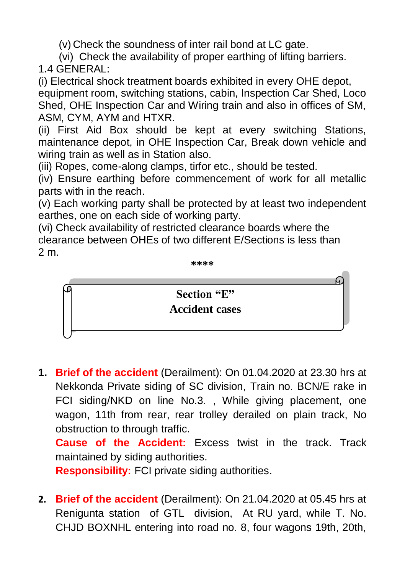(v) Check the soundness of inter rail bond at LC gate.

(vi) Check the availability of proper earthing of lifting barriers.

1.4 GENERAL:

(i) Electrical shock treatment boards exhibited in every OHE depot, equipment room, switching stations, cabin, Inspection Car Shed, Loco Shed, OHE Inspection Car and Wiring train and also in offices of SM, ASM, CYM, AYM and HTXR.

(ii) First Aid Box should be kept at every switching Stations, maintenance depot, in OHE Inspection Car, Break down vehicle and wiring train as well as in Station also.

(iii) Ropes, come-along clamps, tirfor etc., should be tested.

(iv) Ensure earthing before commencement of work for all metallic parts with in the reach.

(v) Each working party shall be protected by at least two independent earthes, one on each side of working party.

(vi) Check availability of restricted clearance boards where the clearance between OHEs of two different E/Sections is less than 2 m.

**\*\*\*\***



**1. Brief of the accident** (Derailment): On 01.04.2020 at 23.30 hrs at Nekkonda Private siding of SC division, Train no. BCN/E rake in FCI siding/NKD on line No.3. , While giving placement, one wagon, 11th from rear, rear trolley derailed on plain track, No obstruction to through traffic.

**Cause of the Accident:** Excess twist in the track. Track maintained by siding authorities.

**Responsibility:** FCI private siding authorities.

**2. Brief of the accident** (Derailment): On 21.04.2020 at 05.45 hrs at Renigunta station of GTL division, At RU yard, while T. No. CHJD BOXNHL entering into road no. 8, four wagons 19th, 20th,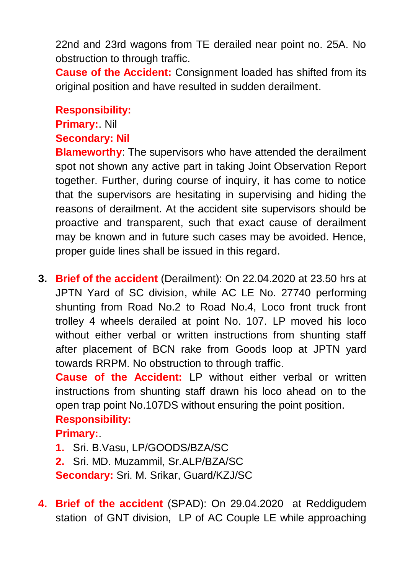22nd and 23rd wagons from TE derailed near point no. 25A. No obstruction to through traffic.

**Cause of the Accident:** Consignment loaded has shifted from its original position and have resulted in sudden derailment.

#### **Responsibility:**

#### **Primary:**. Nil

#### **Secondary: Nil**

**Blameworthy**: The supervisors who have attended the derailment spot not shown any active part in taking Joint Observation Report together. Further, during course of inquiry, it has come to notice that the supervisors are hesitating in supervising and hiding the reasons of derailment. At the accident site supervisors should be proactive and transparent, such that exact cause of derailment may be known and in future such cases may be avoided. Hence, proper guide lines shall be issued in this regard.

**3. Brief of the accident** (Derailment): On 22.04.2020 at 23.50 hrs at JPTN Yard of SC division, while AC LE No. 27740 performing shunting from Road No.2 to Road No.4, Loco front truck front trolley 4 wheels derailed at point No. 107. LP moved his loco without either verbal or written instructions from shunting staff after placement of BCN rake from Goods loop at JPTN yard towards RRPM. No obstruction to through traffic.

**Cause of the Accident:** LP without either verbal or written instructions from shunting staff drawn his loco ahead on to the open trap point No.107DS without ensuring the point position.

## **Responsibility:**

**Primary:**.

**1.** Sri. B.Vasu, LP/GOODS/BZA/SC

**2.** Sri. MD. Muzammil, Sr.ALP/BZA/SC **Secondary:** Sri. M. Srikar, Guard/KZJ/SC

**4. Brief of the accident** (SPAD): On 29.04.2020 at Reddigudem station of GNT division, LP of AC Couple LE while approaching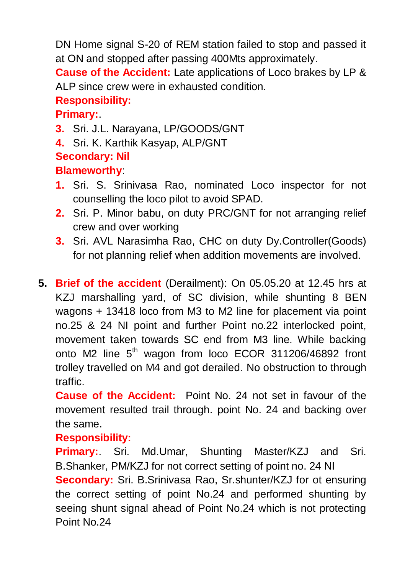DN Home signal S-20 of REM station failed to stop and passed it at ON and stopped after passing 400Mts approximately.

**Cause of the Accident:** Late applications of Loco brakes by LP & ALP since crew were in exhausted condition.

## **Responsibility:**

## **Primary:**.

- **3.** Sri. J.L. Narayana, LP/GOODS/GNT
- **4.** Sri. K. Karthik Kasyap, ALP/GNT

## **Secondary: Nil**

## **Blameworthy**:

- **1.** Sri. S. Srinivasa Rao, nominated Loco inspector for not counselling the loco pilot to avoid SPAD.
- **2.** Sri. P. Minor babu, on duty PRC/GNT for not arranging relief crew and over working
- **3.** Sri. AVL Narasimha Rao, CHC on duty Dy.Controller(Goods) for not planning relief when addition movements are involved.
- **5. Brief of the accident** (Derailment): On 05.05.20 at 12.45 hrs at KZJ marshalling yard, of SC division, while shunting 8 BEN wagons + 13418 loco from M3 to M2 line for placement via point no.25 & 24 NI point and further Point no.22 interlocked point, movement taken towards SC end from M3 line. While backing onto M2 line 5<sup>th</sup> wagon from loco ECOR 311206/46892 front trolley travelled on M4 and got derailed. No obstruction to through traffic.

**Cause of the Accident:** Point No. 24 not set in favour of the movement resulted trail through. point No. 24 and backing over the same.

## **Responsibility:**

**Primary:**. Sri. Md.Umar, Shunting Master/KZJ and Sri. B.Shanker, PM/KZJ for not correct setting of point no. 24 NI **Secondary:** Sri. B.Srinivasa Rao, Sr.shunter/KZJ for ot ensuring the correct setting of point No.24 and performed shunting by seeing shunt signal ahead of Point No.24 which is not protecting Point No.24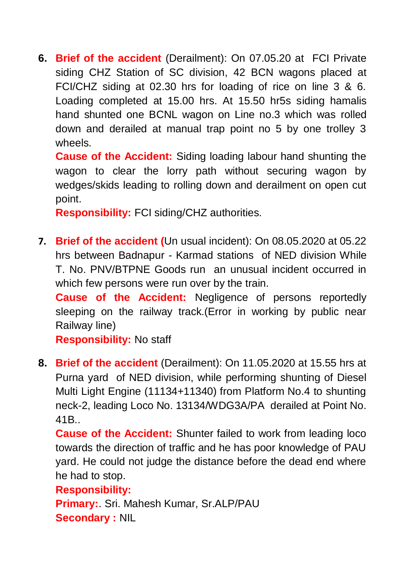**6. Brief of the accident** (Derailment): On 07.05.20 at FCI Private siding CHZ Station of SC division, 42 BCN wagons placed at FCI/CHZ siding at 02.30 hrs for loading of rice on line 3 & 6. Loading completed at 15.00 hrs. At 15.50 hr5s siding hamalis hand shunted one BCNL wagon on Line no.3 which was rolled down and derailed at manual trap point no 5 by one trolley 3 wheels.

**Cause of the Accident:** Siding loading labour hand shunting the wagon to clear the lorry path without securing wagon by wedges/skids leading to rolling down and derailment on open cut point.

**Responsibility:** FCI siding/CHZ authorities.

**7. Brief of the accident (**Un usual incident): On 08.05.2020 at 05.22 hrs between Badnapur - Karmad stations of NED division While T. No. PNV/BTPNE Goods run an unusual incident occurred in which few persons were run over by the train.

**Cause of the Accident:** Negligence of persons reportedly sleeping on the railway track.(Error in working by public near Railway line)

**Responsibility:** No staff

**8. Brief of the accident** (Derailment): On 11.05.2020 at 15.55 hrs at Purna yard of NED division, while performing shunting of Diesel Multi Light Engine (11134+11340) from Platform No.4 to shunting neck-2, leading Loco No. 13134/WDG3A/PA derailed at Point No. 41B..

**Cause of the Accident:** Shunter failed to work from leading loco towards the direction of traffic and he has poor knowledge of PAU yard. He could not judge the distance before the dead end where he had to stop.

**Responsibility:** 

**Primary:**. Sri. Mahesh Kumar, Sr.ALP/PAU **Secondary :** NIL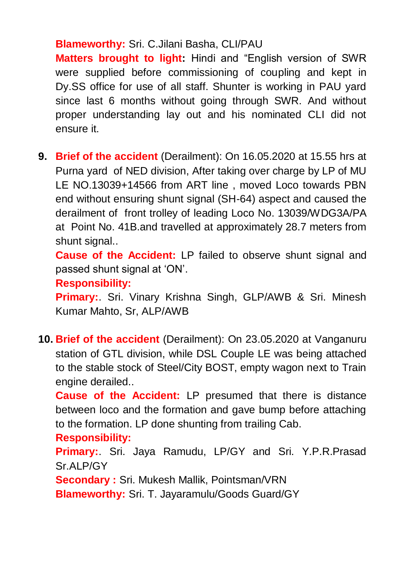#### **Blameworthy:** Sri. C.Jilani Basha, CLI/PAU

**Matters brought to light:** Hindi and "English version of SWR were supplied before commissioning of coupling and kept in Dy.SS office for use of all staff. Shunter is working in PAU yard since last 6 months without going through SWR. And without proper understanding lay out and his nominated CLI did not ensure it.

**9. Brief of the accident** (Derailment): On 16.05.2020 at 15.55 hrs at Purna yard of NED division, After taking over charge by LP of MU LE NO.13039+14566 from ART line , moved Loco towards PBN end without ensuring shunt signal (SH-64) aspect and caused the derailment of front trolley of leading Loco No. 13039/WDG3A/PA at Point No. 41B.and travelled at approximately 28.7 meters from shunt signal..

**Cause of the Accident:** LP failed to observe shunt signal and passed shunt signal at 'ON'.

#### **Responsibility:**

**Primary:**. Sri. Vinary Krishna Singh, GLP/AWB & Sri. Minesh Kumar Mahto, Sr, ALP/AWB

**10. Brief of the accident** (Derailment): On 23.05.2020 at Vanganuru station of GTL division, while DSL Couple LE was being attached to the stable stock of Steel/City BOST, empty wagon next to Train engine derailed..

**Cause of the Accident:** LP presumed that there is distance between loco and the formation and gave bump before attaching to the formation. LP done shunting from trailing Cab.

#### **Responsibility:**

**Primary:**. Sri. Jaya Ramudu, LP/GY and Sri. Y.P.R.Prasad Sr.ALP/GY

**Secondary :** Sri. Mukesh Mallik, Pointsman/VRN

**Blameworthy:** Sri. T. Jayaramulu/Goods Guard/GY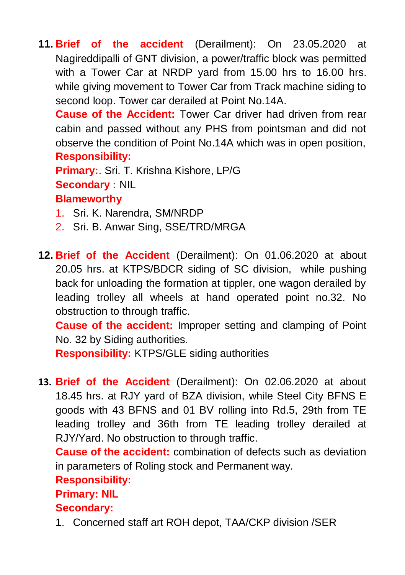**11. Brief of the accident** (Derailment): On 23.05.2020 at Nagireddipalli of GNT division, a power/traffic block was permitted with a Tower Car at NRDP yard from 15.00 hrs to 16.00 hrs. while giving movement to Tower Car from Track machine siding to second loop. Tower car derailed at Point No.14A.

**Cause of the Accident:** Tower Car driver had driven from rear cabin and passed without any PHS from pointsman and did not observe the condition of Point No.14A which was in open position, **Responsibility:** 

**Primary:**. Sri. T. Krishna Kishore, LP/G **Secondary :** NIL **Blameworthy**

- 1. Sri. K. Narendra, SM/NRDP
- 2. Sri. B. Anwar Sing, SSE/TRD/MRGA
- **12. Brief of the Accident** (Derailment): On 01.06.2020 at about 20.05 hrs. at KTPS/BDCR siding of SC division, while pushing back for unloading the formation at tippler, one wagon derailed by leading trolley all wheels at hand operated point no.32. No obstruction to through traffic.

**Cause of the accident:** Improper setting and clamping of Point No. 32 by Siding authorities.

**Responsibility:** KTPS/GLE siding authorities

**13. Brief of the Accident** (Derailment): On 02.06.2020 at about 18.45 hrs. at RJY yard of BZA division, while Steel City BFNS E goods with 43 BFNS and 01 BV rolling into Rd.5, 29th from TE leading trolley and 36th from TE leading trolley derailed at RJY/Yard. No obstruction to through traffic.

**Cause of the accident:** combination of defects such as deviation in parameters of Roling stock and Permanent way.

## **Responsibility:**

## **Primary: NIL**

## **Secondary:**

1. Concerned staff art ROH depot, TAA/CKP division /SER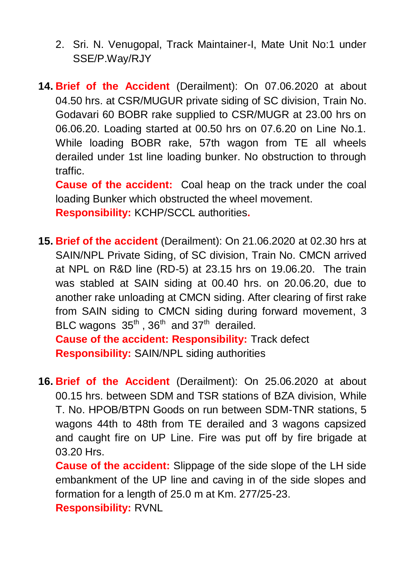- 2. Sri. N. Venugopal, Track Maintainer-I, Mate Unit No:1 under SSE/P.Way/RJY
- **14. Brief of the Accident** (Derailment): On 07.06.2020 at about 04.50 hrs. at CSR/MUGUR private siding of SC division, Train No. Godavari 60 BOBR rake supplied to CSR/MUGR at 23.00 hrs on 06.06.20. Loading started at 00.50 hrs on 07.6.20 on Line No.1. While loading BOBR rake, 57th wagon from TE all wheels derailed under 1st line loading bunker. No obstruction to through traffic.

**Cause of the accident:** Coal heap on the track under the coal loading Bunker which obstructed the wheel movement. **Responsibility:** KCHP/SCCL authorities**.**

- **15. Brief of the accident** (Derailment): On 21.06.2020 at 02.30 hrs at SAIN/NPL Private Siding, of SC division, Train No. CMCN arrived at NPL on R&D line (RD-5) at 23.15 hrs on 19.06.20. The train was stabled at SAIN siding at 00.40 hrs. on 20.06.20, due to another rake unloading at CMCN siding. After clearing of first rake from SAIN siding to CMCN siding during forward movement, 3 BLC wagons  $35<sup>th</sup>$ ,  $36<sup>th</sup>$  and  $37<sup>th</sup>$  derailed. **Cause of the accident: Responsibility:** Track defect **Responsibility:** SAIN/NPL siding authorities
- **16. Brief of the Accident** (Derailment): On 25.06.2020 at about 00.15 hrs. between SDM and TSR stations of BZA division, While T. No. HPOB/BTPN Goods on run between SDM-TNR stations, 5 wagons 44th to 48th from TE derailed and 3 wagons capsized and caught fire on UP Line. Fire was put off by fire brigade at 03.20 Hrs.
	- **Cause of the accident:** Slippage of the side slope of the LH side embankment of the UP line and caving in of the side slopes and formation for a length of 25.0 m at Km. 277/25-23.

**Responsibility:** RVNL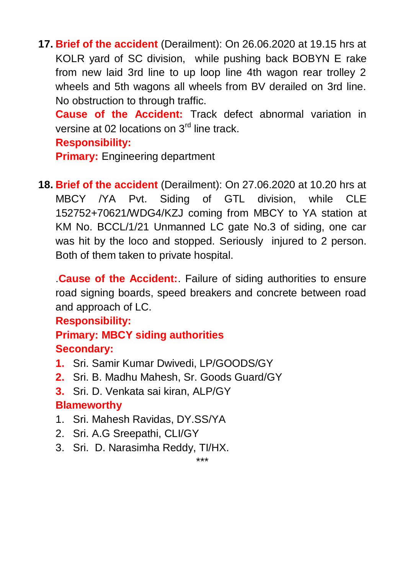**17. Brief of the accident** (Derailment): On 26.06.2020 at 19.15 hrs at KOLR yard of SC division, while pushing back BOBYN E rake from new laid 3rd line to up loop line 4th wagon rear trolley 2 wheels and 5th wagons all wheels from BV derailed on 3rd line. No obstruction to through traffic.

**Cause of the Accident:** Track defect abnormal variation in versine at 02 locations on 3<sup>rd</sup> line track.

#### **Responsibility:**

**Primary: Engineering department** 

**18. Brief of the accident** (Derailment): On 27.06.2020 at 10.20 hrs at MBCY /YA Pvt. Siding of GTL division, while CLE 152752+70621/WDG4/KZJ coming from MBCY to YA station at KM No. BCCL/1/21 Unmanned LC gate No.3 of siding, one car was hit by the loco and stopped. Seriously injured to 2 person. Both of them taken to private hospital.

.**Cause of the Accident:**. Failure of siding authorities to ensure road signing boards, speed breakers and concrete between road and approach of LC.

#### **Responsibility:**

#### **Primary: MBCY siding authorities Secondary:**

- **1.** Sri. Samir Kumar Dwivedi, LP/GOODS/GY
- **2.** Sri. B. Madhu Mahesh, Sr. Goods Guard/GY
- **3.** Sri. D. Venkata sai kiran, ALP/GY

#### **Blameworthy**

- 1. Sri. Mahesh Ravidas, DY.SS/YA
- 2. Sri. A.G Sreepathi, CLI/GY
- 3. Sri. D. Narasimha Reddy, TI/HX.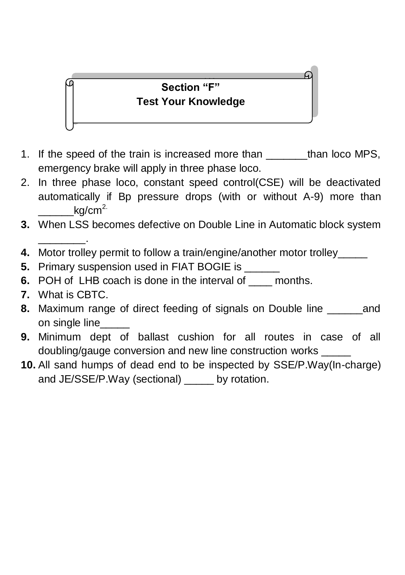## **Section "F" Test Your Knowledge**

- 1. If the speed of the train is increased more than than loco MPS, emergency brake will apply in three phase loco.
- 2. In three phase loco, constant speed control(CSE) will be deactivated automatically if Bp pressure drops (with or without A-9) more than ka/cm $^{2}$
- **3.** When LSS becomes defective on Double Line in Automatic block system \_\_\_\_\_\_\_\_.
- **4.** Motor trolley permit to follow a train/engine/another motor trolley\_\_\_\_\_
- **5.** Primary suspension used in FIAT BOGIE is
- **6.** POH of LHB coach is done in the interval of \_\_\_\_ months.
- **7.** What is CBTC.
- **8.** Maximum range of direct feeding of signals on Double line \_\_\_\_\_\_and on single line
- **9.** Minimum dept of ballast cushion for all routes in case of all doubling/gauge conversion and new line construction works \_\_\_\_\_
- **10.** All sand humps of dead end to be inspected by SSE/P.Way(In-charge) and JE/SSE/P.Way (sectional) by rotation.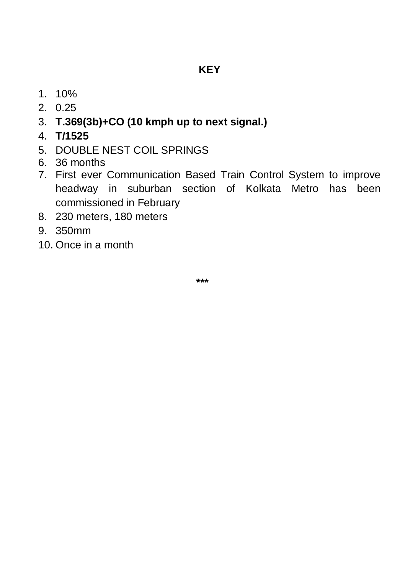- 1. 10%
- 2. 0.25
- 3. **T.369(3b)+CO (10 kmph up to next signal.)**
- 4. **T/1525**
- 5. DOUBLE NEST COIL SPRINGS
- 6. 36 months
- 7. First ever Communication Based Train Control System to improve headway in suburban section of Kolkata Metro has been commissioned in February
- 8. 230 meters, 180 meters
- 9. 350mm
- 10. Once in a month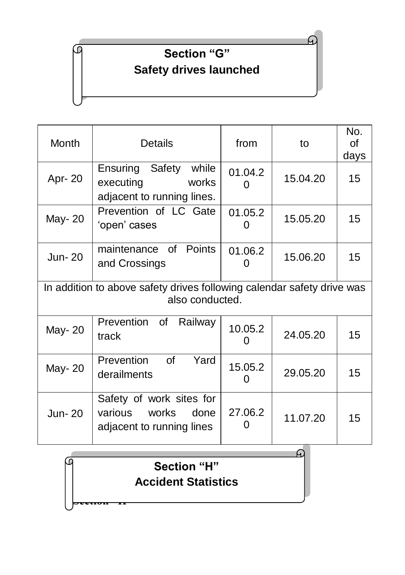# **Section "G" Safety drives launched**

C

| Month                                                                                     | <b>Details</b>                                                                    | from         | to       | No.<br>of<br>days |  |  |
|-------------------------------------------------------------------------------------------|-----------------------------------------------------------------------------------|--------------|----------|-------------------|--|--|
| Apr-20                                                                                    | Ensuring Safety<br>while<br>executing<br>works<br>adjacent to running lines.      | 01.04.2<br>O | 15.04.20 | 15                |  |  |
| May-20                                                                                    | Prevention of LC Gate<br>'open' cases                                             | 01.05.2<br>0 | 15.05.20 | 15                |  |  |
| Jun-20                                                                                    | maintenance of Points<br>and Crossings                                            | 01.06.2<br>O | 15.06.20 | 15 <sub>1</sub>   |  |  |
| In addition to above safety drives following calendar safety drive was<br>also conducted. |                                                                                   |              |          |                   |  |  |
| May-20                                                                                    | Prevention of<br>Railway<br>track                                                 | 10.05.2<br>0 | 24.05.20 | 15                |  |  |
| May-20                                                                                    | Prevention<br>$\mathsf{of}$<br>Yard<br>derailments                                | 15.05.2<br>O | 29.05.20 | 15                |  |  |
| Jun-20                                                                                    | Safety of work sites for<br>various<br>works<br>done<br>adjacent to running lines | 27.06.2      | 11.07.20 | 15                |  |  |